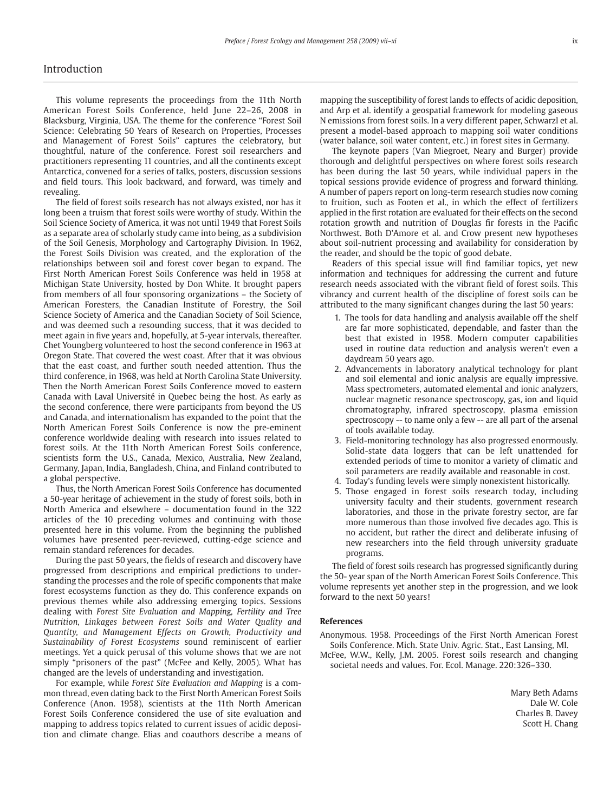## Introduction

This volume represents the proceedings from the 11th North American Forest Soils Conference, held June 22–26, 2008 in Blacksburg, Virginia, USA. The theme for the conference "Forest Soil Science: Celebrating 50 Years of Research on Properties, Processes and Management of Forest Soils" captures the celebratory, but thoughtful, nature of the conference. Forest soil researchers and practitioners representing 11 countries, and all the continents except Antarctica, convened for a series of talks, posters, discussion sessions and field tours. This look backward, and forward, was timely and revealing.

The field of forest soils research has not always existed, nor has it long been a truism that forest soils were worthy of study. Within the Soil Science Society of America, it was not until 1949 that Forest Soils as a separate area of scholarly study came into being, as a subdivision of the Soil Genesis, Morphology and Cartography Division. In 1962, the Forest Soils Division was created, and the exploration of the relationships between soil and forest cover began to expand. The First North American Forest Soils Conference was held in 1958 at Michigan State University, hosted by Don White. It brought papers from members of all four sponsoring organizations – the Society of American Foresters, the Canadian Institute of Forestry, the Soil Science Society of America and the Canadian Society of Soil Science, and was deemed such a resounding success, that it was decided to meet again in five years and, hopefully, at 5-year intervals, thereafter. Chet Youngberg volunteered to host the second conference in 1963 at Oregon State. That covered the west coast. After that it was obvious that the east coast, and further south needed attention. Thus the third conference, in 1968, was held at North Carolina State University. Then the North American Forest Soils Conference moved to eastern Canada with Laval Université in Quebec being the host. As early as the second conference, there were participants from beyond the US and Canada, and internationalism has expanded to the point that the North American Forest Soils Conference is now the pre-eminent conference worldwide dealing with research into issues related to forest soils. At the 11th North American Forest Soils conference, scientists form the U.S., Canada, Mexico, Australia, New Zealand, Germany, Japan, India, Bangladesh, China, and Finland contributed to a global perspective.

Thus, the North American Forest Soils Conference has documented a 50-year heritage of achievement in the study of forest soils, both in North America and elsewhere – documentation found in the 322 articles of the 10 preceding volumes and continuing with those presented here in this volume. From the beginning the published volumes have presented peer-reviewed, cutting-edge science and remain standard references for decades.

During the past 50 years, the fields of research and discovery have progressed from descriptions and empirical predictions to understanding the processes and the role of specific components that make forest ecosystems function as they do. This conference expands on previous themes while also addressing emerging topics. Sessions dealing with *Forest Site Evaluation and Mapping, Fertility and Tree Nutrition, Linkages between Forest Soils and Water Quality and Quantity, and Management Effects on Growth, Productivity and Sustainability of Forest Ecosystems* sound reminiscent of earlier meetings. Yet a quick perusal of this volume shows that we are not simply "prisoners of the past" (McFee and Kelly, 2005). What has changed are the levels of understanding and investigation.

For example, while *Forest Site Evaluation and Mapping* is a common thread, even dating back to the First North American Forest Soils Conference (Anon. 1958), scientists at the 11th North American Forest Soils Conference considered the use of site evaluation and mapping to address topics related to current issues of acidic deposition and climate change. Elias and coauthors describe a means of

mapping the susceptibility of forest lands to effects of acidic deposition, and Arp et al. identify a geospatial framework for modeling gaseous N emissions from forest soils. In a very different paper, Schwarzl et al. present a model-based approach to mapping soil water conditions (water balance, soil water content, etc.) in forest sites in Germany.

The keynote papers (Van Miegroet, Neary and Burger) provide thorough and delightful perspectives on where forest soils research has been during the last 50 years, while individual papers in the topical sessions provide evidence of progress and forward thinking. A number of papers report on long-term research studies now coming to fruition, such as Footen et al., in which the effect of fertilizers applied in the first rotation are evaluated for their effects on the second rotation growth and nutrition of Douglas fir forests in the Pacific Northwest. Both D'Amore et al. and Crow present new hypotheses about soil-nutrient processing and availability for consideration by the reader, and should be the topic of good debate.

Readers of this special issue will find familiar topics, yet new information and techniques for addressing the current and future research needs associated with the vibrant field of forest soils. This vibrancy and current health of the discipline of forest soils can be attributed to the many significant changes during the last 50 years:

- 1. The tools for data handling and analysis available off the shelf are far more sophisticated, dependable, and faster than the best that existed in 1958. Modern computer capabilities used in routine data reduction and analysis weren't even a daydream 50 years ago.
- 2. Advancements in laboratory analytical technology for plant and soil elemental and ionic analysis are equally impressive. Mass spectrometers, automated elemental and ionic analyzers, nuclear magnetic resonance spectroscopy, gas, ion and liquid chromatography, infrared spectroscopy, plasma emission spectroscopy -- to name only a few -- are all part of the arsenal of tools available today.
- 3. Field-monitoring technology has also progressed enormously. Solid-state data loggers that can be left unattended for extended periods of time to monitor a variety of climatic and soil parameters are readily available and reasonable in cost.
- 4. Today's funding levels were simply nonexistent historically.
- 5. Those engaged in forest soils research today, including university faculty and their students, government research laboratories, and those in the private forestry sector, are far more numerous than those involved five decades ago. This is no accident, but rather the direct and deliberate infusing of new researchers into the field through university graduate programs.

The field of forest soils research has progressed significantly during the 50- year span of the North American Forest Soils Conference. This volume represents yet another step in the progression, and we look forward to the next 50 years!

## **References**

Anonymous. 1958. Proceedings of the First North American Forest Soils Conference. Mich. State Univ. Agric. Stat., East Lansing, MI.

McFee, W.W., Kelly, J.M. 2005. Forest soils research and changing societal needs and values. For. Ecol. Manage. 220:326–330.

> Mary Beth Adams Dale W. Cole Charles B. Davey Scott H. Chang